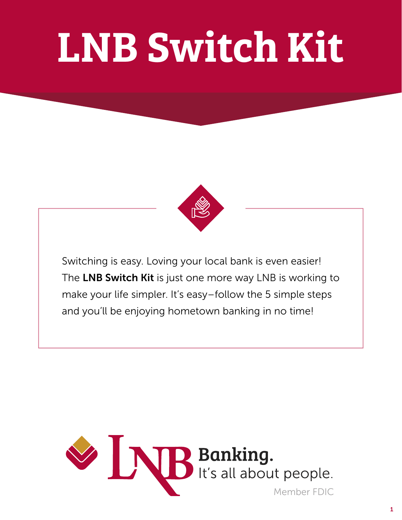# LNB Switch Kit



Switching is easy. Loving your local bank is even easier! The LNB Switch Kit is just one more way LNB is working to make your life simpler. It's easy–follow the 5 simple steps and you'll be enjoying hometown banking in no time!

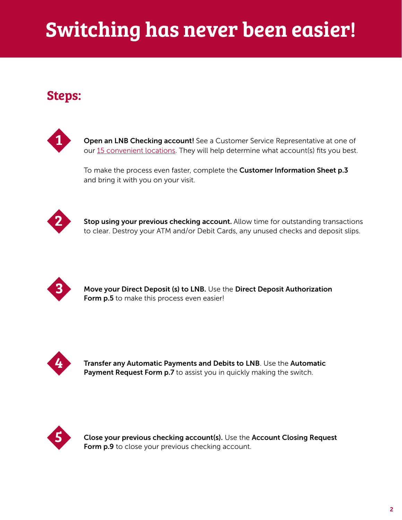# Switching has never been easier!

### Steps:



Open an LNB Checking account! See a Customer Service Representative at one of our [15 convenient locations](https://www.bankwithlnb.com/locations). They will help determine what account(s) fits you best.

To make the process even faster, complete the Customer Information Sheet p.3 and bring it with you on your visit.



Stop using your previous checking account. Allow time for outstanding transactions to clear. Destroy your ATM and/or Debit Cards, any unused checks and deposit slips.



Move your Direct Deposit (s) to LNB. Use the Direct Deposit Authorization Form p.5 to make this process even easier!



Transfer any Automatic Payments and Debits to LNB. Use the Automatic Payment Request Form p.7 to assist you in quickly making the switch.



Close your previous checking account(s). Use the Account Closing Request Form p.9 to close your previous checking account.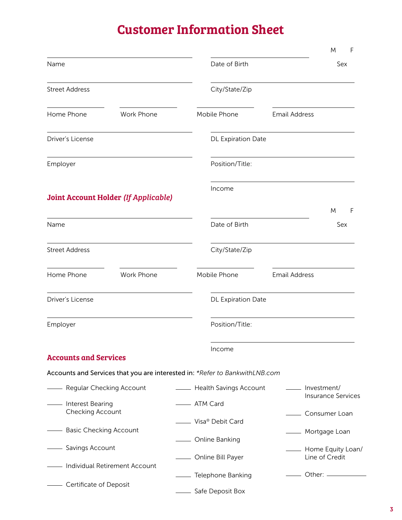### Customer Information Sheet

|                                                      |                                             |                                                                             |                      | M<br>F                    |  |
|------------------------------------------------------|---------------------------------------------|-----------------------------------------------------------------------------|----------------------|---------------------------|--|
| Name                                                 |                                             | Date of Birth                                                               |                      | Sex                       |  |
| <b>Street Address</b>                                |                                             | City/State/Zip                                                              |                      |                           |  |
| Home Phone                                           | <b>Work Phone</b>                           | Mobile Phone                                                                | <b>Email Address</b> |                           |  |
| Driver's License                                     |                                             | <b>DL Expiration Date</b>                                                   |                      |                           |  |
| Employer                                             |                                             | Position/Title:                                                             |                      |                           |  |
|                                                      | <b>Joint Account Holder (If Applicable)</b> | Income                                                                      |                      |                           |  |
|                                                      |                                             |                                                                             |                      | M<br>F                    |  |
| Name                                                 |                                             | Date of Birth                                                               |                      | Sex                       |  |
| <b>Street Address</b>                                |                                             | City/State/Zip                                                              |                      |                           |  |
| Home Phone                                           | Work Phone                                  | Mobile Phone                                                                | <b>Email Address</b> |                           |  |
| Driver's License                                     |                                             | DL Expiration Date                                                          |                      |                           |  |
| Employer                                             |                                             | Position/Title:                                                             |                      |                           |  |
| <b>Accounts and Services</b>                         |                                             | Income                                                                      |                      |                           |  |
|                                                      |                                             | Accounts and Services that you are interested in: *Refer to BankwithLNB.com |                      |                           |  |
| - Regular Checking Account                           |                                             | - Health Savings Account                                                    | _____ Investment/    |                           |  |
|                                                      |                                             |                                                                             |                      | <b>Insurance Services</b> |  |
| - Interest Bearing<br>Checking Account               |                                             | - ATM Card                                                                  | _____ Consumer Loan  |                           |  |
| - Basic Checking Account                             |                                             | - Visa <sup>®</sup> Debit Card                                              | - Mortgage Loan      |                           |  |
| - Savings Account<br>- Individual Retirement Account |                                             | - Online Banking                                                            |                      | - Home Equity Loan/       |  |
|                                                      |                                             | - Online Bill Payer                                                         |                      | Line of Credit            |  |
|                                                      |                                             | - Telephone Banking                                                         |                      | ___ Other: __________     |  |
| - Certificate of Deposit                             |                                             | Safe Deposit Box                                                            |                      |                           |  |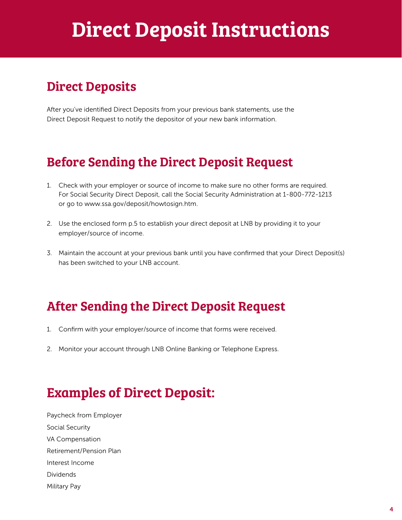## Direct Deposit Instructions

### Direct Deposits

After you've identified Direct Deposits from your previous bank statements, use the Direct Deposit Request to notify the depositor of your new bank information.

### Before Sending the Direct Deposit Request

- 1. Check with your employer or source of income to make sure no other forms are required. For Social Security Direct Deposit, call the Social Security Administration at 1-800-772-1213 or go to www.ssa.gov/deposit/howtosign.htm.
- 2. Use the enclosed form p.5 to establish your direct deposit at LNB by providing it to your employer/source of income.
- 3. Maintain the account at your previous bank until you have confirmed that your Direct Deposit(s) has been switched to your LNB account.

### After Sending the Direct Deposit Request

- 1. Confirm with your employer/source of income that forms were received.
- 2. Monitor your account through LNB Online Banking or Telephone Express.

### Examples of Direct Deposit:

Paycheck from Employer Social Security VA Compensation Retirement/Pension Plan Interest Income Dividends Military Pay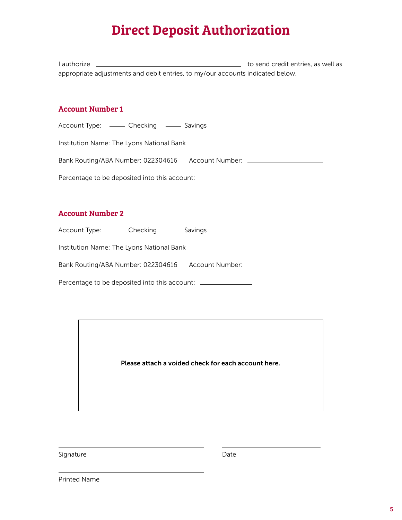### Direct Deposit Authorization

I authorize **the contract of the senator of the senator of the send credit entries**, as well as appropriate adjustments and debit entries, to my/our accounts indicated below.

#### Account Number 1

Account Type: — Checking — Savings

Institution Name: The Lyons National Bank

Bank Routing/ABA Number: 022304616 Account Number:

Percentage to be deposited into this account: \_\_\_\_\_\_\_\_\_\_\_\_\_\_\_\_\_\_\_\_\_\_\_\_\_\_\_\_\_\_\_\_\_\_

#### Account Number 2

Account Type: — Checking — Savings

Institution Name: The Lyons National Bank

Bank Routing/ABA Number: 022304616 Account Number:

Percentage to be deposited into this account: \_\_\_\_\_\_\_\_\_\_\_\_\_\_\_\_

Please attach a voided check for each account here.

Signature

Date

Printed Name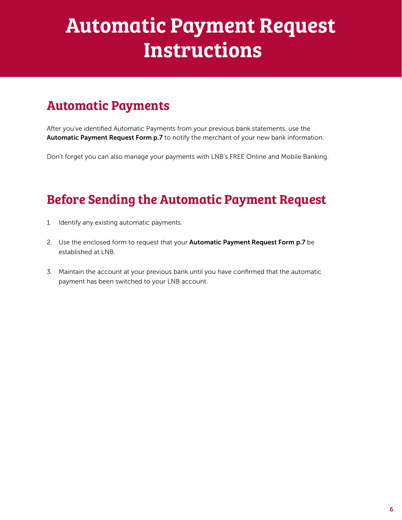# Automatic Payment Request Instructions

### Automatic Payments

After you've identified Automatic Payments from your previous bank statements, use the Automatic Payment Request Form p.7 to notify the merchant of your new bank information.

Don't forget you can also manage your payments with LNB's FREE Online and Mobile Banking.

### Before Sending the Automatic Payment Request

- 1. Identify any existing automatic payments.
- 2. Use the enclosed form to request that your **Automatic Payment Request Form p.7** be established at LNB.
- 3. Maintain the account at your previous bank until you have confirmed that the automatic payment has been switched to your LNB account.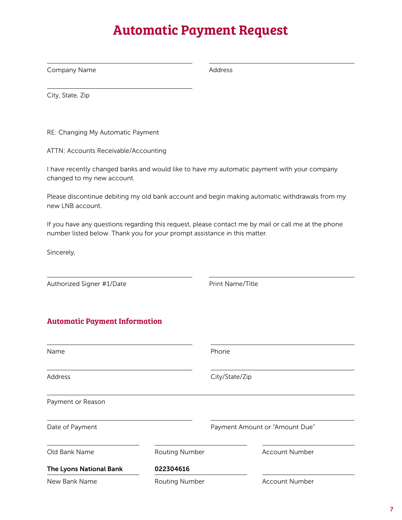### Automatic Payment Request

Company Name

Address

City, State, Zip

RE: Changing My Automatic Payment

ATTN: Accounts Receivable/Accounting

I have recently changed banks and would like to have my automatic payment with your company changed to my new account.

Please discontinue debiting my old bank account and begin making automatic withdrawals from my new LNB account.

If you have any questions regarding this request, please contact me by mail or call me at the phone number listed below. Thank you for your prompt assistance in this matter.

Sincerely,

Authorized Signer #1/Date

Print Name/Title

#### Automatic Payment Information

| Name                    |                       | Phone                          |                       |  |
|-------------------------|-----------------------|--------------------------------|-----------------------|--|
| Address                 |                       | City/State/Zip                 |                       |  |
| Payment or Reason       |                       |                                |                       |  |
| Date of Payment         |                       | Payment Amount or "Amount Due" |                       |  |
| Old Bank Name           | <b>Routing Number</b> |                                | <b>Account Number</b> |  |
| The Lyons National Bank | 022304616             |                                |                       |  |
| New Bank Name           | <b>Routing Number</b> |                                | <b>Account Number</b> |  |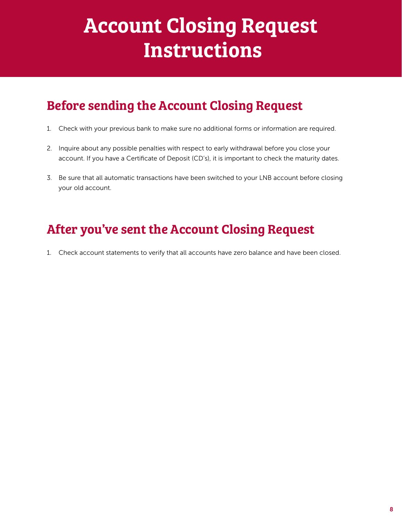# Account Closing Request **Instructions**

### Before sending the Account Closing Request

- 1. Check with your previous bank to make sure no additional forms or information are required.
- 2. Inquire about any possible penalties with respect to early withdrawal before you close your account. If you have a Certificate of Deposit (CD's), it is important to check the maturity dates.
- 3. Be sure that all automatic transactions have been switched to your LNB account before closing your old account.

### After you've sent the Account Closing Request

1. Check account statements to verify that all accounts have zero balance and have been closed.